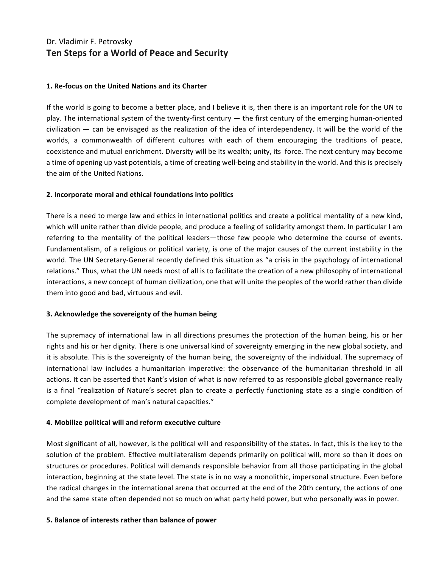# Dr. Vladimir F. Petrovsky **Ten Steps for a World of Peace and Security**

#### **1. Re-focus on the United Nations and its Charter**

If the world is going to become a better place, and I believe it is, then there is an important role for the UN to play. The international system of the twenty-first century — the first century of the emerging human-oriented  $civilization$  — can be envisaged as the realization of the idea of interdependency. It will be the world of the worlds, a commonwealth of different cultures with each of them encouraging the traditions of peace, coexistence and mutual enrichment. Diversity will be its wealth; unity, its force. The next century may become a time of opening up vast potentials, a time of creating well-being and stability in the world. And this is precisely the aim of the United Nations.

# **2. Incorporate moral and ethical foundations into politics**

There is a need to merge law and ethics in international politics and create a political mentality of a new kind, which will unite rather than divide people, and produce a feeling of solidarity amongst them. In particular I am referring to the mentality of the political leaders—those few people who determine the course of events. Fundamentalism, of a religious or political variety, is one of the major causes of the current instability in the world. The UN Secretary-General recently defined this situation as "a crisis in the psychology of international relations." Thus, what the UN needs most of all is to facilitate the creation of a new philosophy of international interactions, a new concept of human civilization, one that will unite the peoples of the world rather than divide them into good and bad, virtuous and evil.

# **3. Acknowledge the sovereignty of the human being**

The supremacy of international law in all directions presumes the protection of the human being, his or her rights and his or her dignity. There is one universal kind of sovereignty emerging in the new global society, and it is absolute. This is the sovereignty of the human being, the sovereignty of the individual. The supremacy of international law includes a humanitarian imperative: the observance of the humanitarian threshold in all actions. It can be asserted that Kant's vision of what is now referred to as responsible global governance really is a final "realization of Nature's secret plan to create a perfectly functioning state as a single condition of complete development of man's natural capacities."

# **4. Mobilize political will and reform executive culture**

Most significant of all, however, is the political will and responsibility of the states. In fact, this is the key to the solution of the problem. Effective multilateralism depends primarily on political will, more so than it does on structures or procedures. Political will demands responsible behavior from all those participating in the global interaction, beginning at the state level. The state is in no way a monolithic, impersonal structure. Even before the radical changes in the international arena that occurred at the end of the 20th century, the actions of one and the same state often depended not so much on what party held power, but who personally was in power.

# **5. Balance of interests rather than balance of power**